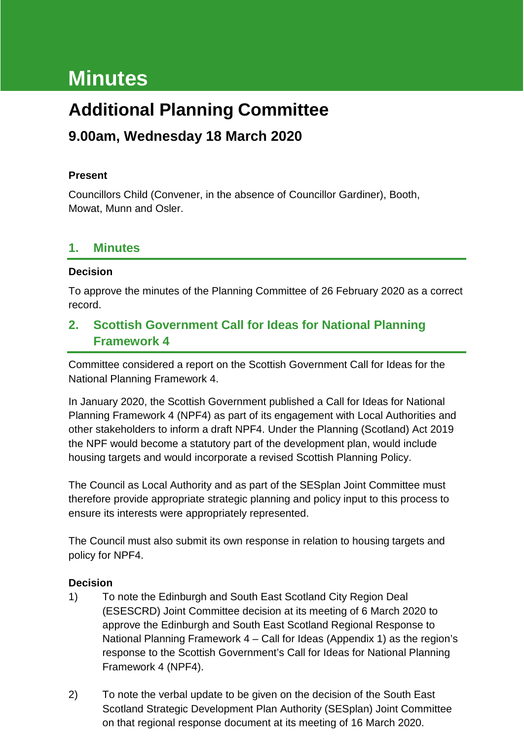# **Minutes**

## **Additional Planning Committee**

### **9.00am, Wednesday 18 March 2020**

#### **Present**

Councillors Child (Convener, in the absence of Councillor Gardiner), Booth, Mowat, Munn and Osler.

#### **1. Minutes**

#### **Decision**

To approve the minutes of the Planning Committee of 26 February 2020 as a correct record.

#### **2. Scottish Government Call for Ideas for National Planning Framework 4**

Committee considered a report on the Scottish Government Call for Ideas for the National Planning Framework 4.

In January 2020, the Scottish Government published a Call for Ideas for National Planning Framework 4 (NPF4) as part of its engagement with Local Authorities and other stakeholders to inform a draft NPF4. Under the Planning (Scotland) Act 2019 the NPF would become a statutory part of the development plan, would include housing targets and would incorporate a revised Scottish Planning Policy.

The Council as Local Authority and as part of the SESplan Joint Committee must therefore provide appropriate strategic planning and policy input to this process to ensure its interests were appropriately represented.

The Council must also submit its own response in relation to housing targets and policy for NPF4.

#### **Decision**

- 1) To note the Edinburgh and South East Scotland City Region Deal (ESESCRD) Joint Committee decision at its meeting of 6 March 2020 to approve the Edinburgh and South East Scotland Regional Response to National Planning Framework 4 – Call for Ideas (Appendix 1) as the region's response to the Scottish Government's Call for Ideas for National Planning Framework 4 (NPF4).
- 2) To note the verbal update to be given on the decision of the South East Scotland Strategic Development Plan Authority (SESplan) Joint Committee on that regional response document at its meeting of 16 March 2020.